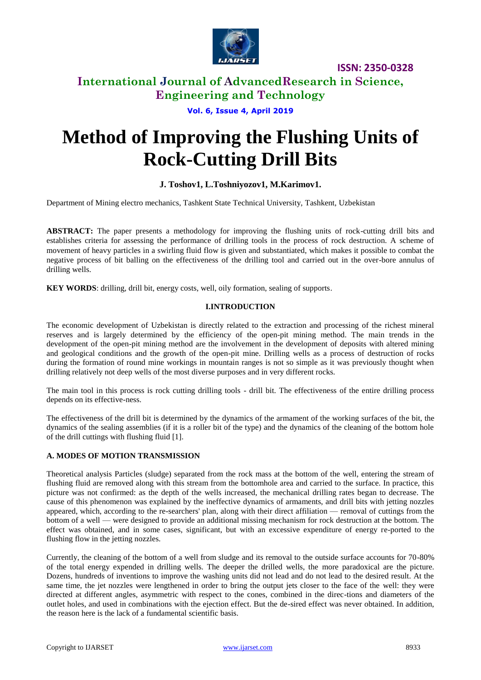

**ISSN: 2350-0328**

## **International Journal of AdvancedResearch in Science, Engineering and Technology**

**Vol. 6, Issue 4, April 2019**

# **Method of Improving the Flushing Units of Rock-Cutting Drill Bits**

## **J. Toshov1, L.Toshniyozov1, M.Karimov1.**

Department of Mining electro mechanics, Tashkent State Technical University, Tashkent, Uzbekistan

**ABSTRACT:** The paper presents a methodology for improving the flushing units of rock-cutting drill bits and establishes criteria for assessing the performance of drilling tools in the process of rock destruction. A scheme of movement of heavy particles in a swirling fluid flow is given and substantiated, which makes it possible to combat the negative process of bit balling on the effectiveness of the drilling tool and carried out in the over-bore annulus of drilling wells.

**KEY WORDS**: drilling, drill bit, energy costs, well, oily formation, sealing of supports.

### **I.INTRODUCTION**

The economic development of Uzbekistan is directly related to the extraction and processing of the richest mineral reserves and is largely determined by the efficiency of the open-pit mining method. The main trends in the development of the open-pit mining method are the involvement in the development of deposits with altered mining and geological conditions and the growth of the open-pit mine. Drilling wells as a process of destruction of rocks during the formation of round mine workings in mountain ranges is not so simple as it was previously thought when drilling relatively not deep wells of the most diverse purposes and in very different rocks.

The main tool in this process is rock cutting drilling tools - drill bit. The effectiveness of the entire drilling process depends on its effective-ness.

The effectiveness of the drill bit is determined by the dynamics of the armament of the working surfaces of the bit, the dynamics of the sealing assemblies (if it is a roller bit of the type) and the dynamics of the cleaning of the bottom hole of the drill cuttings with flushing fluid [1].

### **A. MODES OF MOTION TRANSMISSION**

Theoretical analysis Particles (sludge) separated from the rock mass at the bottom of the well, entering the stream of flushing fluid are removed along with this stream from the bottomhole area and carried to the surface. In practice, this picture was not confirmed: as the depth of the wells increased, the mechanical drilling rates began to decrease. The cause of this phenomenon was explained by the ineffective dynamics of armaments, and drill bits with jetting nozzles appeared, which, according to the re-searchers' plan, along with their direct affiliation — removal of cuttings from the bottom of a well — were designed to provide an additional missing mechanism for rock destruction at the bottom. The effect was obtained, and in some cases, significant, but with an excessive expenditure of energy re-ported to the flushing flow in the jetting nozzles.

Currently, the cleaning of the bottom of a well from sludge and its removal to the outside surface accounts for 70-80% of the total energy expended in drilling wells. The deeper the drilled wells, the more paradoxical are the picture. Dozens, hundreds of inventions to improve the washing units did not lead and do not lead to the desired result. At the same time, the jet nozzles were lengthened in order to bring the output jets closer to the face of the well: they were directed at different angles, asymmetric with respect to the cones, combined in the direc-tions and diameters of the outlet holes, and used in combinations with the ejection effect. But the de-sired effect was never obtained. In addition, the reason here is the lack of a fundamental scientific basis.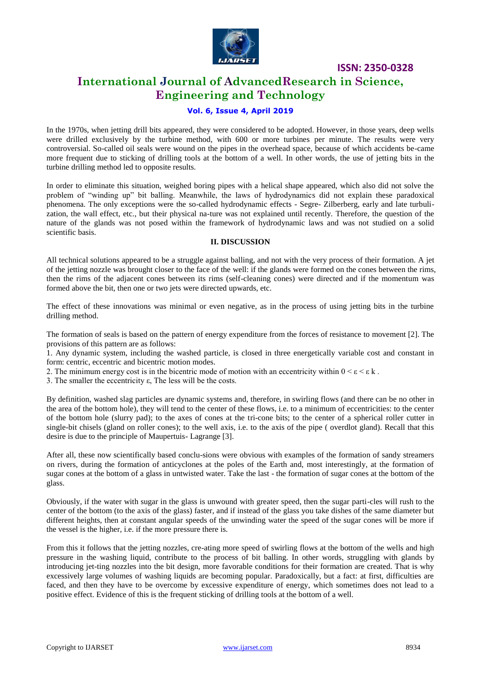

**ISSN: 2350-0328**

# **International Journal of AdvancedResearch in Science, Engineering and Technology**

#### **Vol. 6, Issue 4, April 2019**

In the 1970s, when jetting drill bits appeared, they were considered to be adopted. However, in those years, deep wells were drilled exclusively by the turbine method, with 600 or more turbines per minute. The results were very controversial. So-called oil seals were wound on the pipes in the overhead space, because of which accidents be-came more frequent due to sticking of drilling tools at the bottom of a well. In other words, the use of jetting bits in the turbine drilling method led to opposite results.

In order to eliminate this situation, weighed boring pipes with a helical shape appeared, which also did not solve the problem of "winding up" bit balling. Meanwhile, the laws of hydrodynamics did not explain these paradoxical phenomena. The only exceptions were the so-called hydrodynamic effects - Segre- Zilberberg, early and late turbulization, the wall effect, etc., but their physical na-ture was not explained until recently. Therefore, the question of the nature of the glands was not posed within the framework of hydrodynamic laws and was not studied on a solid scientific basis.

#### **II. DISCUSSION**

All technical solutions appeared to be a struggle against balling, and not with the very process of their formation. A jet of the jetting nozzle was brought closer to the face of the well: if the glands were formed on the cones between the rims, then the rims of the adjacent cones between its rims (self-cleaning cones) were directed and if the momentum was formed above the bit, then one or two jets were directed upwards, etc.

The effect of these innovations was minimal or even negative, as in the process of using jetting bits in the turbine drilling method.

The formation of seals is based on the pattern of energy expenditure from the forces of resistance to movement [2]. The provisions of this pattern are as follows:

1. Any dynamic system, including the washed particle, is closed in three energetically variable cost and constant in form: centric, eccentric and bicentric motion modes.

- 2. The minimum energy cost is in the bicentric mode of motion with an eccentricity within  $0 \le \varepsilon \le \varepsilon k$ .
- 3. The smaller the eccentricity ε, The less will be the costs.

By definition, washed slag particles are dynamic systems and, therefore, in swirling flows (and there can be no other in the area of the bottom hole), they will tend to the center of these flows, i.e. to a minimum of eccentricities: to the center of the bottom hole (slurry pad); to the axes of cones at the tri-cone bits; to the center of a spherical roller cutter in single-bit chisels (gland on roller cones); to the well axis, i.e. to the axis of the pipe ( overdlot gland). Recall that this desire is due to the principle of Maupertuis- Lagrange [3].

After all, these now scientifically based conclu-sions were obvious with examples of the formation of sandy streamers on rivers, during the formation of anticyclones at the poles of the Earth and, most interestingly, at the formation of sugar cones at the bottom of a glass in untwisted water. Take the last - the formation of sugar cones at the bottom of the glass.

Obviously, if the water with sugar in the glass is unwound with greater speed, then the sugar parti-cles will rush to the center of the bottom (to the axis of the glass) faster, and if instead of the glass you take dishes of the same diameter but different heights, then at constant angular speeds of the unwinding water the speed of the sugar cones will be more if the vessel is the higher, i.e. if the more pressure there is.

From this it follows that the jetting nozzles, cre-ating more speed of swirling flows at the bottom of the wells and high pressure in the washing liquid, contribute to the process of bit balling. In other words, struggling with glands by introducing jet-ting nozzles into the bit design, more favorable conditions for their formation are created. That is why excessively large volumes of washing liquids are becoming popular. Paradoxically, but a fact: at first, difficulties are faced, and then they have to be overcome by excessive expenditure of energy, which sometimes does not lead to a positive effect. Evidence of this is the frequent sticking of drilling tools at the bottom of a well.